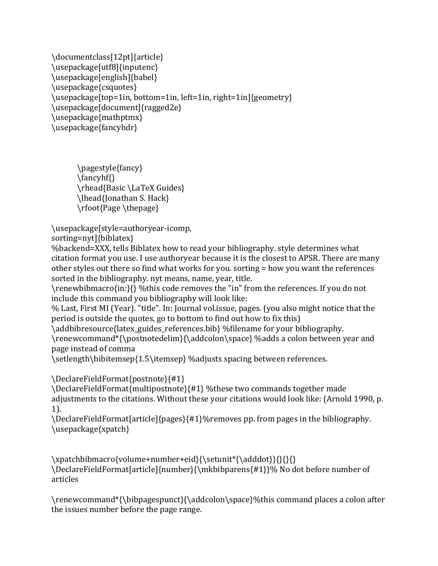```
\documentclass[12pt]{article}
\usepackage[utf8]{inputenc}
\usepackage[english]{babel}
\usepackage{csquotes}
\usepackage[top=1in, bottom=1in, left=1in, right=1in]{geometry}
\usepackage[document]{ragged2e}
\usepackage{mathptmx}
\usepackage{fancyhdr}
```
\pagestyle{fancy} \fancyhf{} \rhead{Basic \LaTeX Guides} \lhead{Jonathan S. Hack} \rfoot{Page \thepage}

\usepackage[style=authoryear-icomp, 

sorting=nyt]{biblatex} 

%backend=XXX, tells Biblatex how to read your bibliography. style determines what citation format you use. I use authoryear because it is the closest to APSR. There are many other styles out there so find what works for you. sorting = how you want the references sorted in the bibliography. nyt means, name, year, title.

\renewbibmacro{in:}{} %this code removes the "in" from the references. If you do not include this command you bibliography will look like:

% Last, First MI (Year). "title". In: Journal vol.issue, pages. (you also might notice that the period is outside the quotes, go to bottom to find out how to fix this)

\addbibresource{latex\_guides\_references.bib} %filename for your bibliography. \renewcommand\*{\postnotedelim}{\addcolon\space} %adds a colon between year and 

page instead of comma

\setlength\bibitemsep{1.5\itemsep} %adjusts spacing between references.

\DeclareFieldFormat{postnote}{#1}

\DeclareFieldFormat{multipostnote}{#1} %these two commands together made adjustments to the citations. Without these your citations would look like: (Arnold 1990, p. 1). 

\DeclareFieldFormat[article]{pages}{#1}%removes pp. from pages in the bibliography. \usepackage{xpatch}

\xpatchbibmacro{volume+number+eid}{\setunit\*{\adddot}}{}{}{} \DeclareFieldFormat[article]{number}{\mkbibparens{#1}}% No dot before number of articles

\renewcommand\*{\bibpagespunct}{\addcolon\space}%this command places a colon after the issues number before the page range.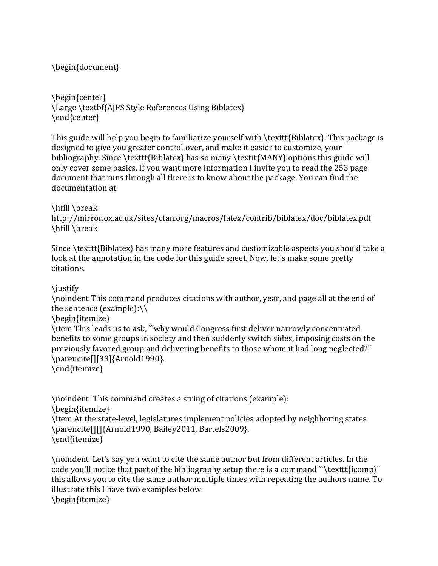\begin{document}

\begin{center} \Large \textbf{AJPS Style References Using Biblatex} \end{center}

This guide will help you begin to familiarize yourself with  $\text{Biblatex}.$  This package is designed to give you greater control over, and make it easier to customize, your bibliography. Since \texttt{Biblatex} has so many \textit{MANY} options this guide will only cover some basics. If you want more information I invite you to read the 253 page document that runs through all there is to know about the package. You can find the documentation at:

\hfill \break

http://mirror.ox.ac.uk/sites/ctan.org/macros/latex/contrib/biblatex/doc/biblatex.pdf \hfill \break

Since \texttt{Biblatex} has many more features and customizable aspects you should take a look at the annotation in the code for this guide sheet. Now, let's make some pretty citations.

\justify 

\noindent This command produces citations with author, year, and page all at the end of the sentence (example): $\setminus \setminus$ 

\begin{itemize}

\item This leads us to ask, ``why would Congress first deliver narrowly concentrated benefits to some groups in society and then suddenly switch sides, imposing costs on the previously favored group and delivering benefits to those whom it had long neglected?" \parencite[][33]{Arnold1990}.

\end{itemize}

\noindent This command creates a string of citations (example): \begin{itemize} \item At the state-level, legislatures implement policies adopted by neighboring states \parencite[][]{Arnold1990, Bailey2011, Bartels2009}. \end{itemize}

\noindent Let's say you want to cite the same author but from different articles. In the code you'll notice that part of the bibliography setup there is a command "\texttt{icomp}" this allows you to cite the same author multiple times with repeating the authors name. To illustrate this I have two examples below: \begin{itemize}